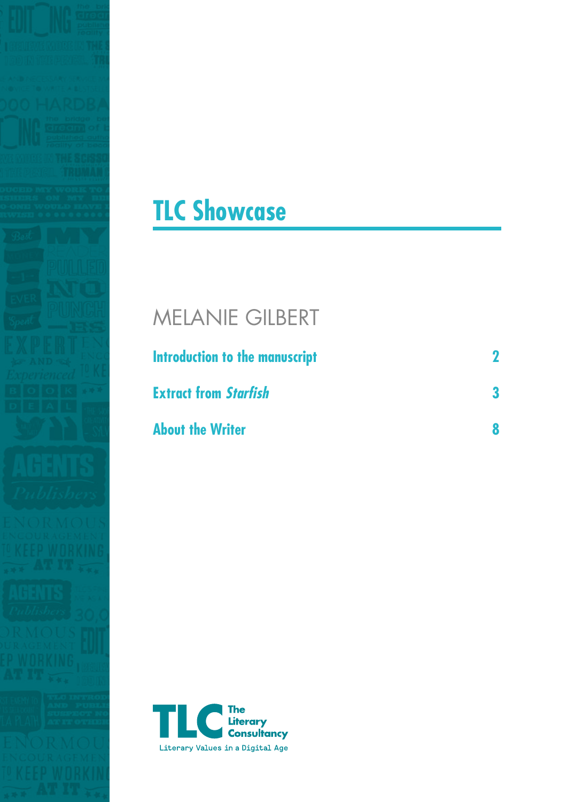



# MELANIE GILBERT

| Introduction to the manuscript |  |
|--------------------------------|--|
| <b>Extract from Starfish</b>   |  |
| <b>About the Writer</b>        |  |

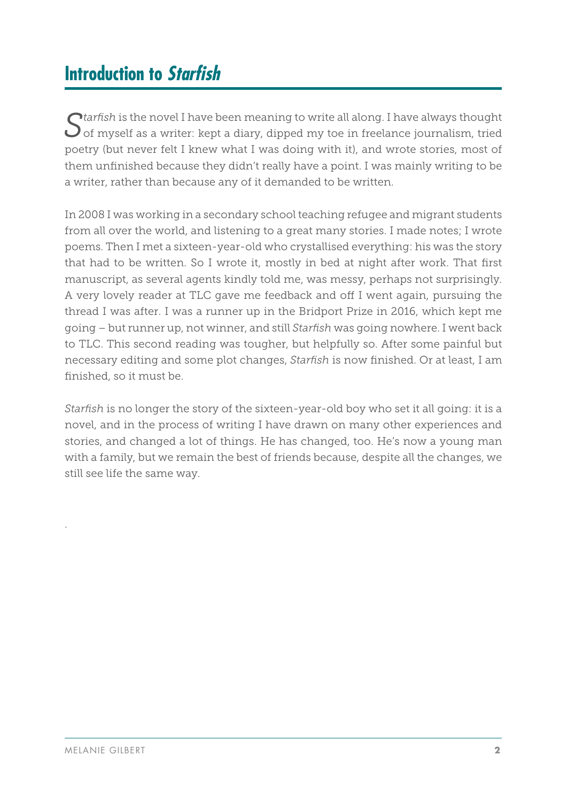## **Introduction to Starfish**

Starfish is the novel I have been meaning to write all along. I have always thought<br>of myself as a writer: kept a diary, dipped my toe in freelance journalism, tried poetry (but never felt I knew what I was doing with it), and wrote stories, most of them unfinished because they didn't really have a point. I was mainly writing to be a writer, rather than because any of it demanded to be written.

In 2008 I was working in a secondary school teaching refugee and migrant students from all over the world, and listening to a great many stories. I made notes; I wrote poems. Then I met a sixteen-year-old who crystallised everything: his was the story that had to be written. So I wrote it, mostly in bed at night after work. That first manuscript, as several agents kindly told me, was messy, perhaps not surprisingly. A very lovely reader at TLC gave me feedback and off I went again, pursuing the thread I was after. I was a runner up in the Bridport Prize in 2016, which kept me going – but runner up, not winner, and still *Starfish* was going nowhere. I went back to TLC. This second reading was tougher, but helpfully so. After some painful but necessary editing and some plot changes, *Starfish* is now finished. Or at least, I am finished, so it must be.

*Starfish* is no longer the story of the sixteen-year-old boy who set it all going: it is a novel, and in the process of writing I have drawn on many other experiences and stories, and changed a lot of things. He has changed, too. He's now a young man with a family, but we remain the best of friends because, despite all the changes, we still see life the same way.

.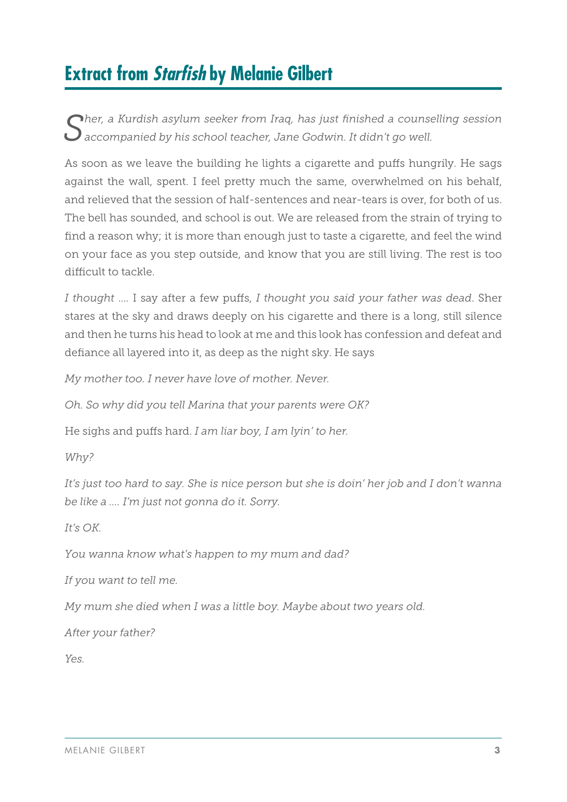## **Extract from Starfish by Melanie Gilbert**

*Sher, a Kurdish asylum seeker from Iraq, has just finished a counselling session accompanied by his school teacher, Jane Godwin. It didn't go well.*

As soon as we leave the building he lights a cigarette and puffs hungrily. He sags against the wall, spent. I feel pretty much the same, overwhelmed on his behalf, and relieved that the session of half-sentences and near-tears is over, for both of us. The bell has sounded, and school is out. We are released from the strain of trying to find a reason why; it is more than enough just to taste a cigarette, and feel the wind on your face as you step outside, and know that you are still living. The rest is too difficult to tackle.

*I thought* …. I say after a few puffs, *I thought you said your father was dead*. Sher stares at the sky and draws deeply on his cigarette and there is a long, still silence and then he turns his head to look at me and this look has confession and defeat and defiance all layered into it, as deep as the night sky. He says

*My mother too. I never have love of mother. Never.*

*Oh. So why did you tell Marina that your parents were OK?*

He sighs and puffs hard. *I am liar boy, I am lyin' to her.*

*Why?*

*It's just too hard to say. She is nice person but she is doin' her job and I don't wanna be like a …. I'm just not gonna do it. Sorry.*

*It's OK.*

*You wanna know what's happen to my mum and dad?*

*If you want to tell me.*

*My mum she died when I was a little boy. Maybe about two years old.*

*After your father?*

*Yes.*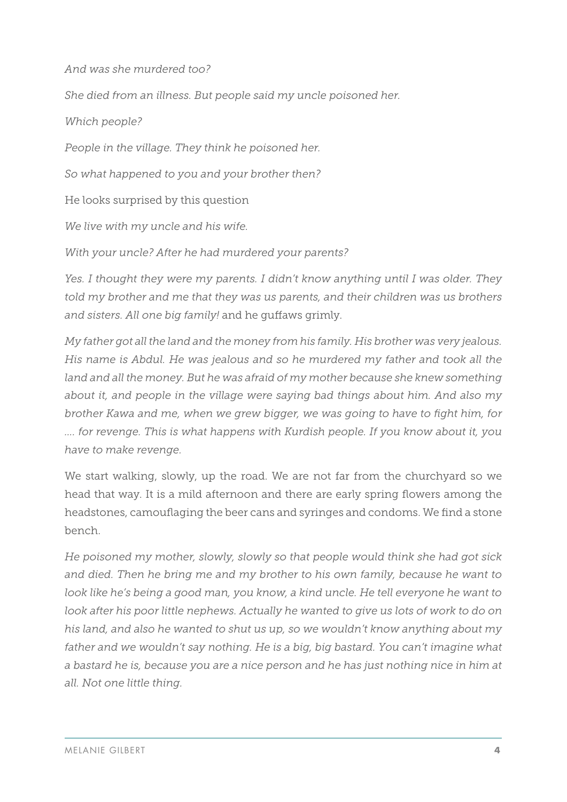*And was she murdered too?*

*She died from an illness. But people said my uncle poisoned her.*

*Which people?*

*People in the village. They think he poisoned her.*

*So what happened to you and your brother then?*

He looks surprised by this question

*We live with my uncle and his wife.*

*With your uncle? After he had murdered your parents?*

*Yes. I thought they were my parents. I didn't know anything until I was older. They told my brother and me that they was us parents, and their children was us brothers and sisters. All one big family!* and he guffaws grimly.

*My father got all the land and the money from his family. His brother was very jealous. His name is Abdul. He was jealous and so he murdered my father and took all the*  land and all the money. But he was afraid of my mother because she knew something *about it, and people in the village were saying bad things about him. And also my brother Kawa and me, when we grew bigger, we was going to have to fight him, for …. for revenge. This is what happens with Kurdish people. If you know about it, you have to make revenge.*

We start walking, slowly, up the road. We are not far from the churchyard so we head that way. It is a mild afternoon and there are early spring flowers among the headstones, camouflaging the beer cans and syringes and condoms. We find a stone bench.

*He poisoned my mother, slowly, slowly so that people would think she had got sick and died. Then he bring me and my brother to his own family, because he want to*  look like he's being a good man, you know, a kind uncle. He tell everyone he want to look after his poor little nephews. Actually he wanted to give us lots of work to do on *his land, and also he wanted to shut us up, so we wouldn't know anything about my father and we wouldn't say nothing. He is a big, big bastard. You can't imagine what a bastard he is, because you are a nice person and he has just nothing nice in him at all. Not one little thing.*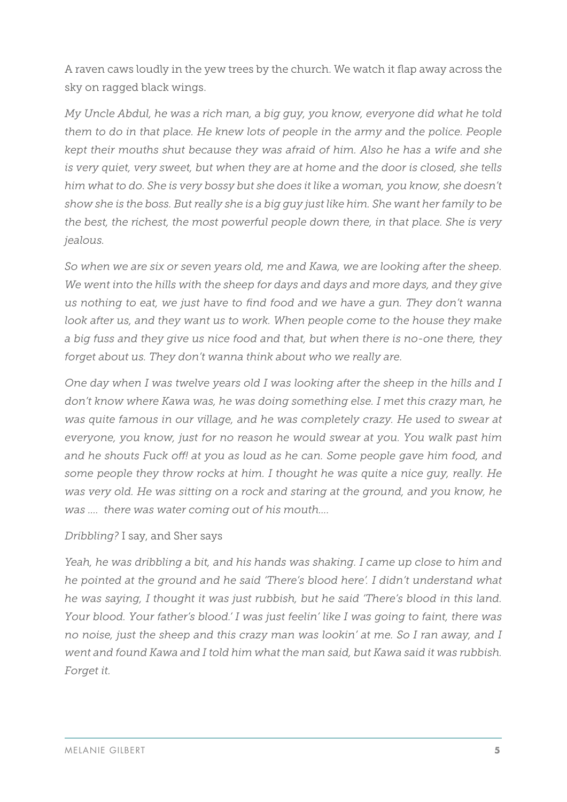A raven caws loudly in the yew trees by the church. We watch it flap away across the sky on ragged black wings.

*My Uncle Abdul, he was a rich man, a big guy, you know, everyone did what he told them to do in that place. He knew lots of people in the army and the police. People kept their mouths shut because they was afraid of him. Also he has a wife and she is very quiet, very sweet, but when they are at home and the door is closed, she tells him what to do. She is very bossy but she does it like a woman, you know, she doesn't show she is the boss. But really she is a big guy just like him. She want her family to be the best, the richest, the most powerful people down there, in that place. She is very jealous.*

*So when we are six or seven years old, me and Kawa, we are looking after the sheep. We went into the hills with the sheep for days and days and more days, and they give us nothing to eat, we just have to find food and we have a gun. They don't wanna*  look after us, and they want us to work. When people come to the house they make *a big fuss and they give us nice food and that, but when there is no-one there, they forget about us. They don't wanna think about who we really are.*

*One day when I was twelve years old I was looking after the sheep in the hills and I don't know where Kawa was, he was doing something else. I met this crazy man, he was quite famous in our village, and he was completely crazy. He used to swear at everyone, you know, just for no reason he would swear at you. You walk past him and he shouts Fuck off! at you as loud as he can. Some people gave him food, and some people they throw rocks at him. I thought he was quite a nice guy, really. He was very old. He was sitting on a rock and staring at the ground, and you know, he was …. there was water coming out of his mouth….*

#### *Dribbling?* I say, and Sher says

*Yeah, he was dribbling a bit, and his hands was shaking. I came up close to him and he pointed at the ground and he said 'There's blood here'. I didn't understand what he was saying, I thought it was just rubbish, but he said 'There's blood in this land. Your blood. Your father's blood.' I was just feelin' like I was going to faint, there was no noise, just the sheep and this crazy man was lookin' at me. So I ran away, and I went and found Kawa and I told him what the man said, but Kawa said it was rubbish. Forget it.*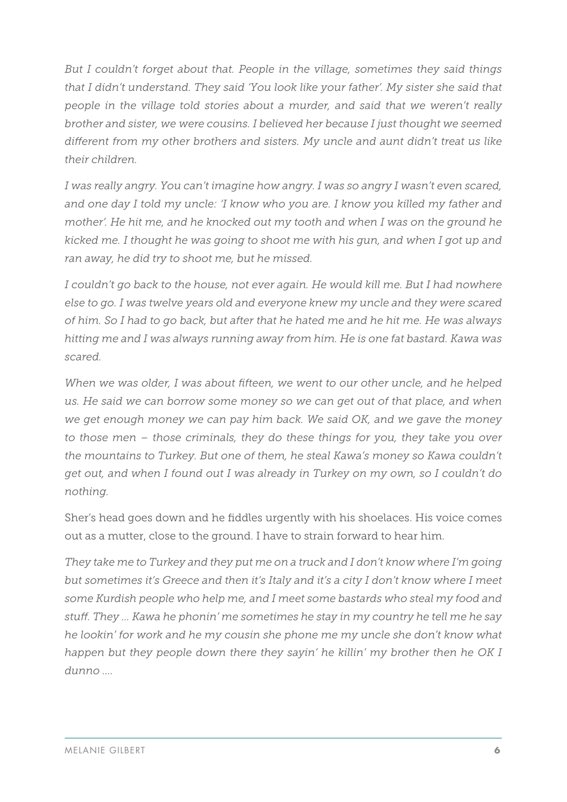*But I couldn't forget about that. People in the village, sometimes they said things that I didn't understand. They said 'You look like your father'. My sister she said that people in the village told stories about a murder, and said that we weren't really brother and sister, we were cousins. I believed her because I just thought we seemed different from my other brothers and sisters. My uncle and aunt didn't treat us like their children.*

*I was really angry. You can't imagine how angry. I was so angry I wasn't even scared, and one day I told my uncle: 'I know who you are. I know you killed my father and mother'. He hit me, and he knocked out my tooth and when I was on the ground he kicked me. I thought he was going to shoot me with his gun, and when I got up and ran away, he did try to shoot me, but he missed.*

I couldn't go back to the house, not ever again. He would kill me. But I had nowhere *else to go. I was twelve years old and everyone knew my uncle and they were scared of him. So I had to go back, but after that he hated me and he hit me. He was always hitting me and I was always running away from him. He is one fat bastard. Kawa was scared.* 

*When we was older, I was about fifteen, we went to our other uncle, and he helped us. He said we can borrow some money so we can get out of that place, and when we get enough money we can pay him back. We said OK, and we gave the money to those men – those criminals, they do these things for you, they take you over the mountains to Turkey. But one of them, he steal Kawa's money so Kawa couldn't get out, and when I found out I was already in Turkey on my own, so I couldn't do nothing.*

Sher's head goes down and he fiddles urgently with his shoelaces. His voice comes out as a mutter, close to the ground. I have to strain forward to hear him.

*They take me to Turkey and they put me on a truck and I don't know where I'm going but sometimes it's Greece and then it's Italy and it's a city I don't know where I meet some Kurdish people who help me, and I meet some bastards who steal my food and stuff. They … Kawa he phonin' me sometimes he stay in my country he tell me he say he lookin' for work and he my cousin she phone me my uncle she don't know what happen but they people down there they sayin' he killin' my brother then he OK I dunno ….*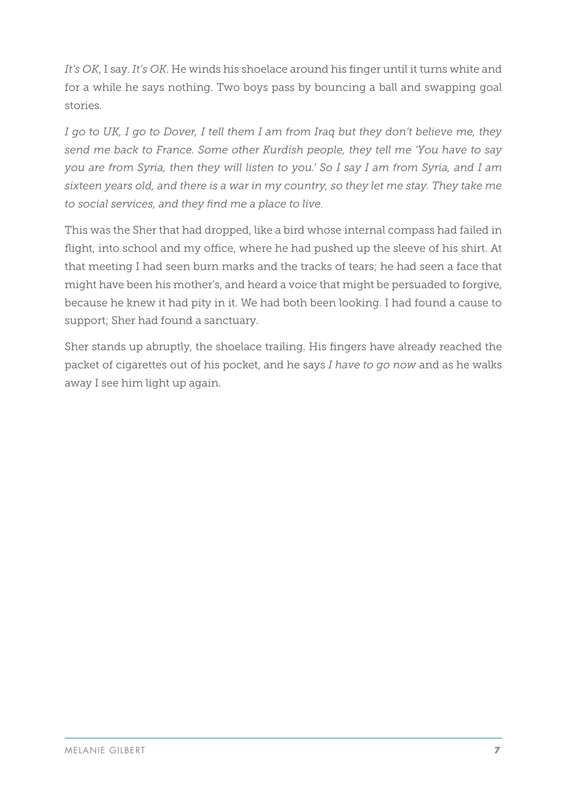*It's OK*, I say. *It's OK*. He winds his shoelace around his finger until it turns white and for a while he says nothing. Two boys pass by bouncing a ball and swapping goal stories.

*I go to UK, I go to Dover, I tell them I am from Irag but they don't believe me, they send me back to France. Some other Kurdish people, they tell me 'You have to say you are from Syria, then they will listen to you.' So I say I am from Syria, and I am sixteen years old, and there is a war in my country, so they let me stay. They take me to social services, and they find me a place to live.* 

This was the Sher that had dropped, like a bird whose internal compass had failed in flight, into school and my office, where he had pushed up the sleeve of his shirt. At that meeting I had seen burn marks and the tracks of tears; he had seen a face that might have been his mother's, and heard a voice that might be persuaded to forgive, because he knew it had pity in it. We had both been looking. I had found a cause to support; Sher had found a sanctuary.

Sher stands up abruptly, the shoelace trailing. His fingers have already reached the packet of cigarettes out of his pocket, and he says *I have to go now* and as he walks away I see him light up again.